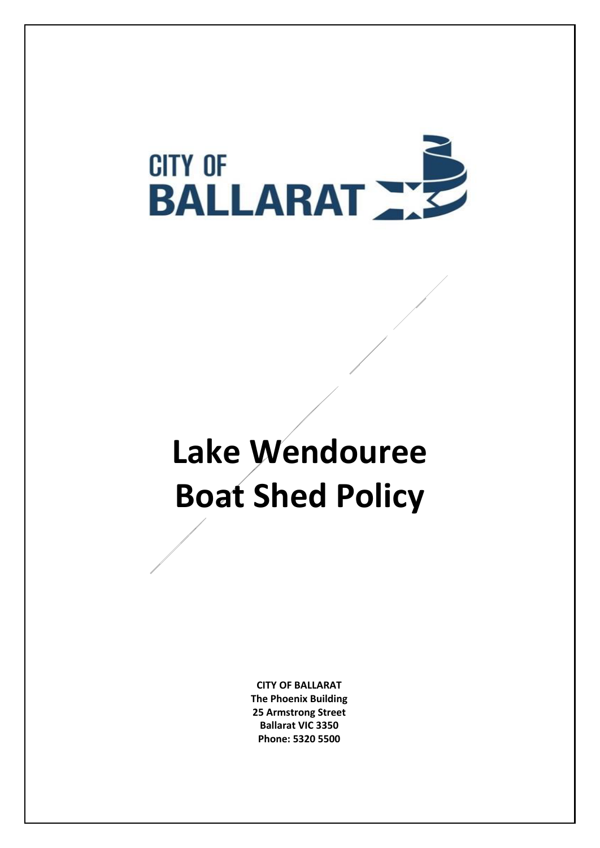

# **Lake Wendouree Boat Shed Policy**

**CITY OF BALLARAT The Phoenix Building 25 Armstrong Street Ballarat VIC 3350 Phone: 5320 5500**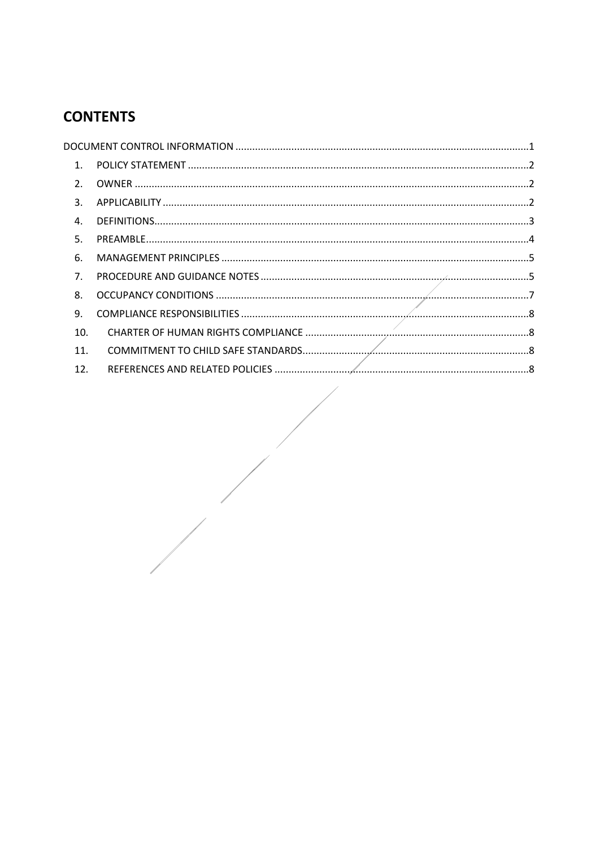# **CONTENTS**

| $\mathbf{1}$ . |  |  |  |  |
|----------------|--|--|--|--|
| 2.             |  |  |  |  |
| 3.             |  |  |  |  |
| $\mathbf{4}$   |  |  |  |  |
| 5.             |  |  |  |  |
| 6.             |  |  |  |  |
| 7 <sub>1</sub> |  |  |  |  |
| 8.             |  |  |  |  |
| 9.             |  |  |  |  |
| 10.            |  |  |  |  |
| 11.            |  |  |  |  |
| 12.            |  |  |  |  |
|                |  |  |  |  |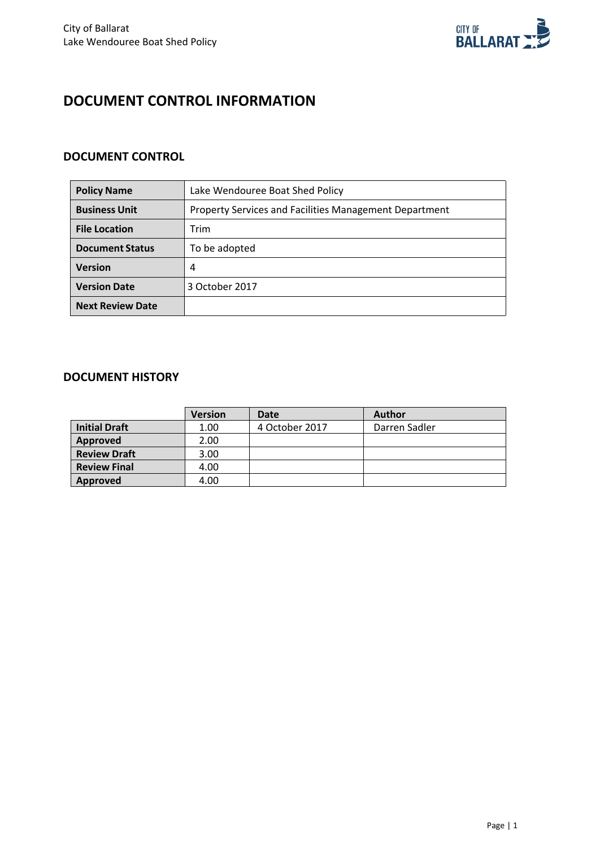

## <span id="page-2-0"></span>**DOCUMENT CONTROL INFORMATION**

## **DOCUMENT CONTROL**

| <b>Policy Name</b>      | Lake Wendouree Boat Shed Policy                               |  |  |
|-------------------------|---------------------------------------------------------------|--|--|
| <b>Business Unit</b>    | <b>Property Services and Facilities Management Department</b> |  |  |
| <b>File Location</b>    | Trim                                                          |  |  |
| <b>Document Status</b>  | To be adopted                                                 |  |  |
| <b>Version</b>          | 4                                                             |  |  |
| <b>Version Date</b>     | 3 October 2017                                                |  |  |
| <b>Next Review Date</b> |                                                               |  |  |

## **DOCUMENT HISTORY**

|                      | <b>Version</b> | Date           | <b>Author</b> |
|----------------------|----------------|----------------|---------------|
| <b>Initial Draft</b> | 1.00           | 4 October 2017 | Darren Sadler |
| Approved             | 2.00           |                |               |
| <b>Review Draft</b>  | 3.00           |                |               |
| <b>Review Final</b>  | 4.00           |                |               |
| Approved             | 4.00           |                |               |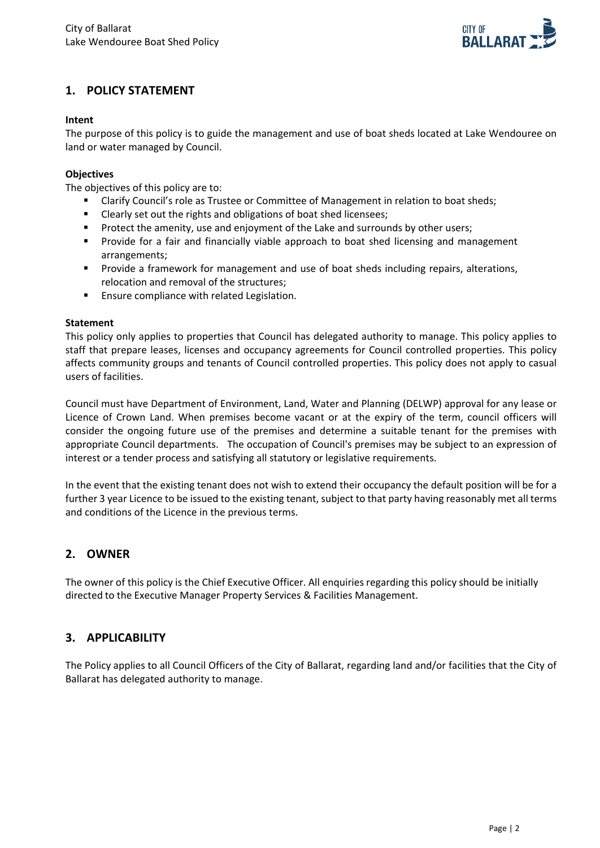

## <span id="page-3-0"></span>**1. POLICY STATEMENT**

#### **Intent**

The purpose of this policy is to guide the management and use of boat sheds located at Lake Wendouree on land or water managed by Council.

#### **Objectives**

The objectives of this policy are to:

- Clarify Council's role as Trustee or Committee of Management in relation to boat sheds;
- **EXECUTE:** Clearly set out the rights and obligations of boat shed licensees;
- **Protect the amenity, use and enjoyment of the Lake and surrounds by other users;**
- **Provide for a fair and financially viable approach to boat shed licensing and management** arrangements;
- Provide a framework for management and use of boat sheds including repairs, alterations, relocation and removal of the structures;
- **Ensure compliance with related Legislation.**

#### **Statement**

This policy only applies to properties that Council has delegated authority to manage. This policy applies to staff that prepare leases, licenses and occupancy agreements for Council controlled properties. This policy affects community groups and tenants of Council controlled properties. This policy does not apply to casual users of facilities.

Council must have Department of Environment, Land, Water and Planning (DELWP) approval for any lease or Licence of Crown Land. When premises become vacant or at the expiry of the term, council officers will consider the ongoing future use of the premises and determine a suitable tenant for the premises with appropriate Council departments. The occupation of Council's premises may be subject to an expression of interest or a tender process and satisfying all statutory or legislative requirements.

In the event that the existing tenant does not wish to extend their occupancy the default position will be for a further 3 year Licence to be issued to the existing tenant, subject to that party having reasonably met all terms and conditions of the Licence in the previous terms.

#### <span id="page-3-1"></span>**2. OWNER**

The owner of this policy is the Chief Executive Officer. All enquiries regarding this policy should be initially directed to the Executive Manager Property Services & Facilities Management.

#### <span id="page-3-2"></span>**3. APPLICABILITY**

The Policy applies to all Council Officers of the City of Ballarat, regarding land and/or facilities that the City of Ballarat has delegated authority to manage.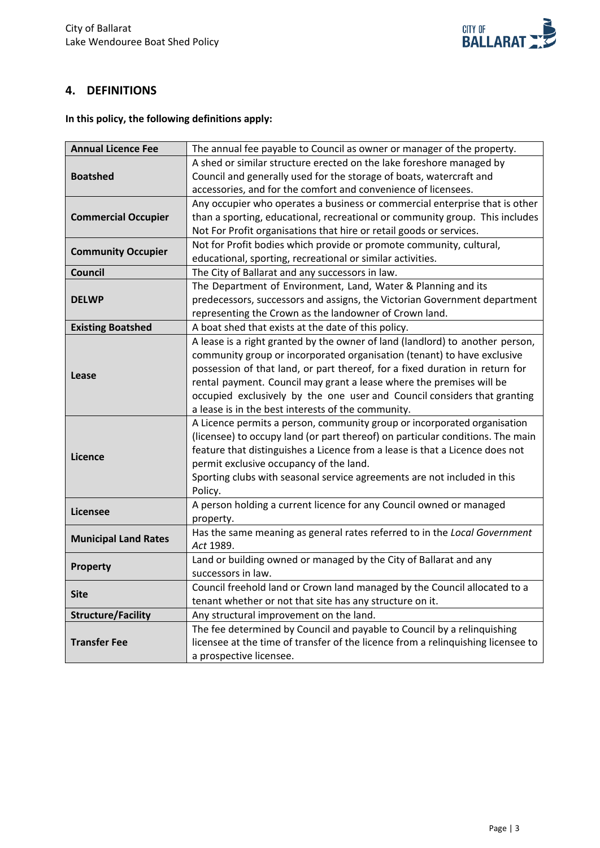

## <span id="page-4-0"></span>**4. DEFINITIONS**

**In this policy, the following definitions apply:**

| <b>Annual Licence Fee</b>   | The annual fee payable to Council as owner or manager of the property.           |  |  |  |
|-----------------------------|----------------------------------------------------------------------------------|--|--|--|
|                             | A shed or similar structure erected on the lake foreshore managed by             |  |  |  |
| <b>Boatshed</b>             | Council and generally used for the storage of boats, watercraft and              |  |  |  |
|                             | accessories, and for the comfort and convenience of licensees.                   |  |  |  |
|                             | Any occupier who operates a business or commercial enterprise that is other      |  |  |  |
| <b>Commercial Occupier</b>  | than a sporting, educational, recreational or community group. This includes     |  |  |  |
|                             | Not For Profit organisations that hire or retail goods or services.              |  |  |  |
| <b>Community Occupier</b>   | Not for Profit bodies which provide or promote community, cultural,              |  |  |  |
|                             | educational, sporting, recreational or similar activities.                       |  |  |  |
| <b>Council</b>              | The City of Ballarat and any successors in law.                                  |  |  |  |
|                             | The Department of Environment, Land, Water & Planning and its                    |  |  |  |
| <b>DELWP</b>                | predecessors, successors and assigns, the Victorian Government department        |  |  |  |
|                             | representing the Crown as the landowner of Crown land.                           |  |  |  |
| <b>Existing Boatshed</b>    | A boat shed that exists at the date of this policy.                              |  |  |  |
|                             | A lease is a right granted by the owner of land (landlord) to another person,    |  |  |  |
|                             | community group or incorporated organisation (tenant) to have exclusive          |  |  |  |
| Lease                       | possession of that land, or part thereof, for a fixed duration in return for     |  |  |  |
|                             | rental payment. Council may grant a lease where the premises will be             |  |  |  |
|                             | occupied exclusively by the one user and Council considers that granting         |  |  |  |
|                             | a lease is in the best interests of the community.                               |  |  |  |
|                             | A Licence permits a person, community group or incorporated organisation         |  |  |  |
|                             | (licensee) to occupy land (or part thereof) on particular conditions. The main   |  |  |  |
| Licence                     | feature that distinguishes a Licence from a lease is that a Licence does not     |  |  |  |
|                             | permit exclusive occupancy of the land.                                          |  |  |  |
|                             | Sporting clubs with seasonal service agreements are not included in this         |  |  |  |
|                             | Policy.                                                                          |  |  |  |
| Licensee                    | A person holding a current licence for any Council owned or managed              |  |  |  |
|                             | property.                                                                        |  |  |  |
| <b>Municipal Land Rates</b> | Has the same meaning as general rates referred to in the Local Government        |  |  |  |
|                             | Act 1989.                                                                        |  |  |  |
| <b>Property</b>             | Land or building owned or managed by the City of Ballarat and any                |  |  |  |
|                             | successors in law.                                                               |  |  |  |
| <b>Site</b>                 | Council freehold land or Crown land managed by the Council allocated to a        |  |  |  |
|                             | tenant whether or not that site has any structure on it.                         |  |  |  |
| <b>Structure/Facility</b>   | Any structural improvement on the land.                                          |  |  |  |
|                             | The fee determined by Council and payable to Council by a relinquishing          |  |  |  |
| <b>Transfer Fee</b>         | licensee at the time of transfer of the licence from a relinquishing licensee to |  |  |  |
|                             | a prospective licensee.                                                          |  |  |  |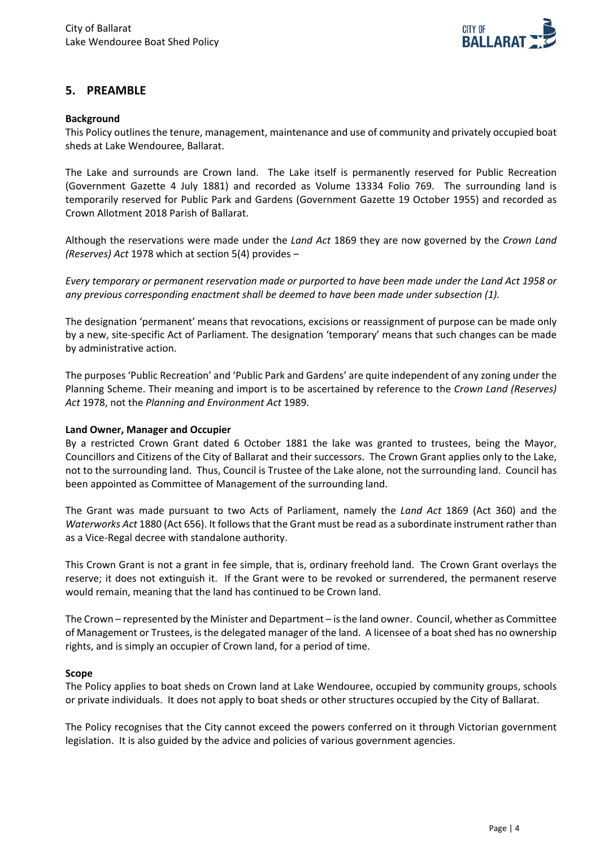

## <span id="page-5-0"></span>**5. PREAMBLE**

#### **Background**

This Policy outlines the tenure, management, maintenance and use of community and privately occupied boat sheds at Lake Wendouree, Ballarat.

The Lake and surrounds are Crown land. The Lake itself is permanently reserved for Public Recreation (Government Gazette 4 July 1881) and recorded as Volume 13334 Folio 769. The surrounding land is temporarily reserved for Public Park and Gardens (Government Gazette 19 October 1955) and recorded as Crown Allotment 2018 Parish of Ballarat.

Although the reservations were made under the *Land Act* 1869 they are now governed by the *Crown Land (Reserves) Act* 1978 which at section 5(4) provides –

*Every temporary or permanent reservation made or purported to have been made under the Land Act 1958 or any previous corresponding enactment shall be deemed to have been made under subsection (1).*

The designation 'permanent' means that revocations, excisions or reassignment of purpose can be made only by a new, site-specific Act of Parliament. The designation 'temporary' means that such changes can be made by administrative action.

The purposes 'Public Recreation' and 'Public Park and Gardens' are quite independent of any zoning under the Planning Scheme. Their meaning and import is to be ascertained by reference to the *Crown Land (Reserves) Act* 1978, not the *Planning and Environment Act* 1989.

#### **Land Owner, Manager and Occupier**

By a restricted Crown Grant dated 6 October 1881 the lake was granted to trustees, being the Mayor, Councillors and Citizens of the City of Ballarat and their successors. The Crown Grant applies only to the Lake, not to the surrounding land. Thus, Council is Trustee of the Lake alone, not the surrounding land. Council has been appointed as Committee of Management of the surrounding land.

The Grant was made pursuant to two Acts of Parliament, namely the *Land Act* 1869 (Act 360) and the *Waterworks Act* 1880 (Act 656). It follows that the Grant must be read as a subordinate instrument rather than as a Vice-Regal decree with standalone authority.

This Crown Grant is not a grant in fee simple, that is, ordinary freehold land. The Crown Grant overlays the reserve; it does not extinguish it. If the Grant were to be revoked or surrendered, the permanent reserve would remain, meaning that the land has continued to be Crown land.

The Crown – represented by the Minister and Department – is the land owner. Council, whether as Committee of Management or Trustees, is the delegated manager of the land. A licensee of a boat shed has no ownership rights, and is simply an occupier of Crown land, for a period of time.

#### **Scope**

The Policy applies to boat sheds on Crown land at Lake Wendouree, occupied by community groups, schools or private individuals. It does not apply to boat sheds or other structures occupied by the City of Ballarat.

The Policy recognises that the City cannot exceed the powers conferred on it through Victorian government legislation. It is also guided by the advice and policies of various government agencies.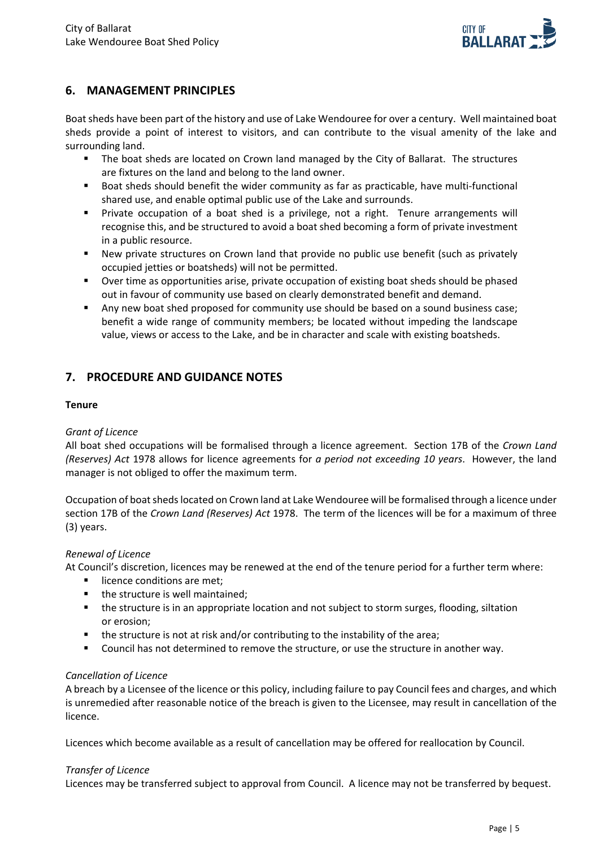

## <span id="page-6-0"></span>**6. MANAGEMENT PRINCIPLES**

Boat sheds have been part of the history and use of Lake Wendouree for over a century. Well maintained boat sheds provide a point of interest to visitors, and can contribute to the visual amenity of the lake and surrounding land.

- The boat sheds are located on Crown land managed by the City of Ballarat. The structures are fixtures on the land and belong to the land owner.
- Boat sheds should benefit the wider community as far as practicable, have multi-functional shared use, and enable optimal public use of the Lake and surrounds.
- Private occupation of a boat shed is a privilege, not a right. Tenure arrangements will recognise this, and be structured to avoid a boat shed becoming a form of private investment in a public resource.
- New private structures on Crown land that provide no public use benefit (such as privately occupied jetties or boatsheds) will not be permitted.
- Over time as opportunities arise, private occupation of existing boat sheds should be phased out in favour of community use based on clearly demonstrated benefit and demand.
- **Any new boat shed proposed for community use should be based on a sound business case;** benefit a wide range of community members; be located without impeding the landscape value, views or access to the Lake, and be in character and scale with existing boatsheds.

## <span id="page-6-1"></span>**7. PROCEDURE AND GUIDANCE NOTES**

#### **Tenure**

#### *Grant of Licence*

All boat shed occupations will be formalised through a licence agreement. Section 17B of the *Crown Land (Reserves) Act* 1978 allows for licence agreements for *a period not exceeding 10 years*. However, the land manager is not obliged to offer the maximum term.

Occupation of boat sheds located on Crown land at Lake Wendouree will be formalised through a licence under section 17B of the *Crown Land (Reserves) Act* 1978. The term of the licences will be for a maximum of three (3) years.

#### *Renewal of Licence*

At Council's discretion, licences may be renewed at the end of the tenure period for a further term where:

- licence conditions are met;
- the structure is well maintained;
- **the structure is in an appropriate location and not subject to storm surges, flooding, siltation** or erosion;
- **the structure is not at risk and/or contributing to the instability of the area;**
- **Council has not determined to remove the structure, or use the structure in another way.**

#### *Cancellation of Licence*

A breach by a Licensee of the licence or this policy, including failure to pay Council fees and charges, and which is unremedied after reasonable notice of the breach is given to the Licensee, may result in cancellation of the licence.

Licences which become available as a result of cancellation may be offered for reallocation by Council.

#### *Transfer of Licence*

Licences may be transferred subject to approval from Council. A licence may not be transferred by bequest.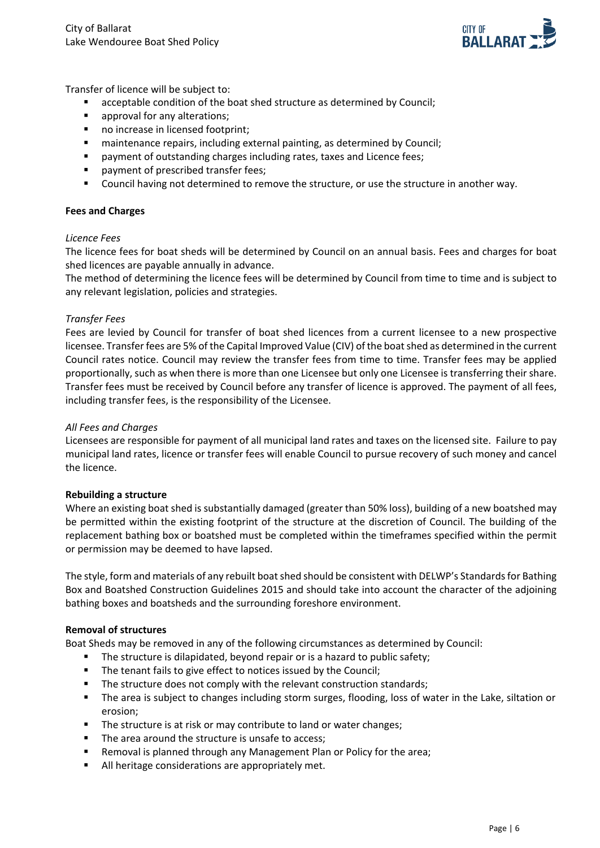

Transfer of licence will be subject to:

- acceptable condition of the boat shed structure as determined by Council;
- approval for any alterations;
- no increase in licensed footprint;
- **EXEDENTIFY maintenance repairs, including external painting, as determined by Council;**
- payment of outstanding charges including rates, taxes and Licence fees;
- payment of prescribed transfer fees;
- Council having not determined to remove the structure, or use the structure in another way.

#### **Fees and Charges**

#### *Licence Fees*

The licence fees for boat sheds will be determined by Council on an annual basis. Fees and charges for boat shed licences are payable annually in advance.

The method of determining the licence fees will be determined by Council from time to time and is subject to any relevant legislation, policies and strategies.

#### *Transfer Fees*

Fees are levied by Council for transfer of boat shed licences from a current licensee to a new prospective licensee. Transfer fees are 5% of the Capital Improved Value (CIV) of the boat shed as determined in the current Council rates notice. Council may review the transfer fees from time to time. Transfer fees may be applied proportionally, such as when there is more than one Licensee but only one Licensee is transferring their share. Transfer fees must be received by Council before any transfer of licence is approved. The payment of all fees, including transfer fees, is the responsibility of the Licensee.

#### *All Fees and Charges*

Licensees are responsible for payment of all municipal land rates and taxes on the licensed site. Failure to pay municipal land rates, licence or transfer fees will enable Council to pursue recovery of such money and cancel the licence.

#### **Rebuilding a structure**

Where an existing boat shed is substantially damaged (greater than 50% loss), building of a new boatshed may be permitted within the existing footprint of the structure at the discretion of Council. The building of the replacement bathing box or boatshed must be completed within the timeframes specified within the permit or permission may be deemed to have lapsed.

The style, form and materials of any rebuilt boat shed should be consistent with DELWP's Standards for Bathing Box and Boatshed Construction Guidelines 2015 and should take into account the character of the adjoining bathing boxes and boatsheds and the surrounding foreshore environment.

#### **Removal of structures**

Boat Sheds may be removed in any of the following circumstances as determined by Council:

- The structure is dilapidated, beyond repair or is a hazard to public safety;
- The tenant fails to give effect to notices issued by the Council;
- The structure does not comply with the relevant construction standards;
- The area is subject to changes including storm surges, flooding, loss of water in the Lake, siltation or erosion;
- The structure is at risk or may contribute to land or water changes;
- The area around the structure is unsafe to access;
- Removal is planned through any Management Plan or Policy for the area;
- All heritage considerations are appropriately met.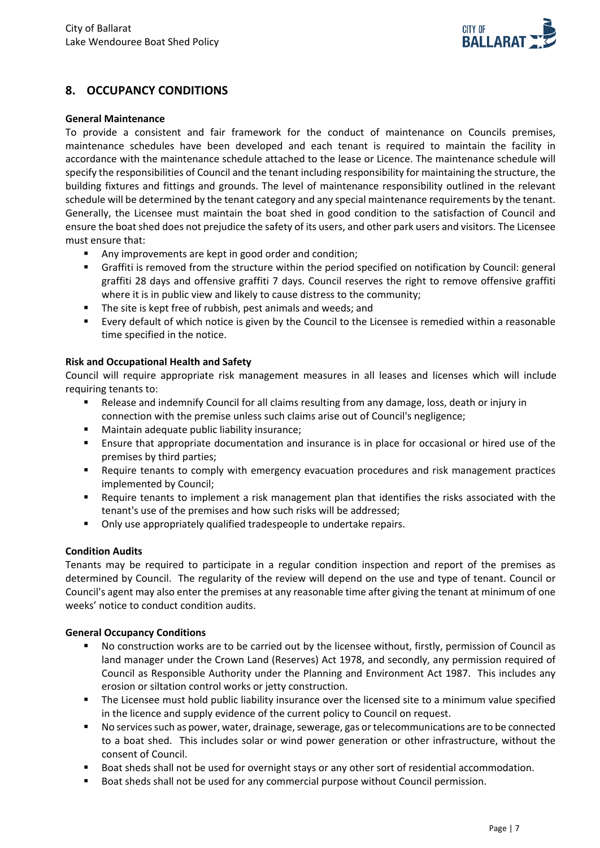

## <span id="page-8-0"></span>**8. OCCUPANCY CONDITIONS**

#### **General Maintenance**

To provide a consistent and fair framework for the conduct of maintenance on Councils premises, maintenance schedules have been developed and each tenant is required to maintain the facility in accordance with the maintenance schedule attached to the lease or Licence. The maintenance schedule will specify the responsibilities of Council and the tenant including responsibility for maintaining the structure, the building fixtures and fittings and grounds. The level of maintenance responsibility outlined in the relevant schedule will be determined by the tenant category and any special maintenance requirements by the tenant. Generally, the Licensee must maintain the boat shed in good condition to the satisfaction of Council and ensure the boat shed does not prejudice the safety of its users, and other park users and visitors. The Licensee must ensure that:

- Any improvements are kept in good order and condition;
- Graffiti is removed from the structure within the period specified on notification by Council: general graffiti 28 days and offensive graffiti 7 days. Council reserves the right to remove offensive graffiti where it is in public view and likely to cause distress to the community;
- The site is kept free of rubbish, pest animals and weeds; and
- Every default of which notice is given by the Council to the Licensee is remedied within a reasonable time specified in the notice.

#### **Risk and Occupational Health and Safety**

Council will require appropriate risk management measures in all leases and licenses which will include requiring tenants to:

- Release and indemnify Council for all claims resulting from any damage, loss, death or injury in connection with the premise unless such claims arise out of Council's negligence;
- Maintain adequate public liability insurance;
- Ensure that appropriate documentation and insurance is in place for occasional or hired use of the premises by third parties;
- Require tenants to comply with emergency evacuation procedures and risk management practices implemented by Council;
- Require tenants to implement a risk management plan that identifies the risks associated with the tenant's use of the premises and how such risks will be addressed;
- **•** Only use appropriately qualified tradespeople to undertake repairs.

#### **Condition Audits**

Tenants may be required to participate in a regular condition inspection and report of the premises as determined by Council. The regularity of the review will depend on the use and type of tenant. Council or Council's agent may also enter the premises at any reasonable time after giving the tenant at minimum of one weeks' notice to conduct condition audits.

#### **General Occupancy Conditions**

- No construction works are to be carried out by the licensee without, firstly, permission of Council as land manager under the Crown Land (Reserves) Act 1978, and secondly, any permission required of Council as Responsible Authority under the Planning and Environment Act 1987. This includes any erosion or siltation control works or jetty construction.
- The Licensee must hold public liability insurance over the licensed site to a minimum value specified in the licence and supply evidence of the current policy to Council on request.
- No services such as power, water, drainage, sewerage, gas or telecommunications are to be connected to a boat shed. This includes solar or wind power generation or other infrastructure, without the consent of Council.
- Boat sheds shall not be used for overnight stays or any other sort of residential accommodation.
- Boat sheds shall not be used for any commercial purpose without Council permission.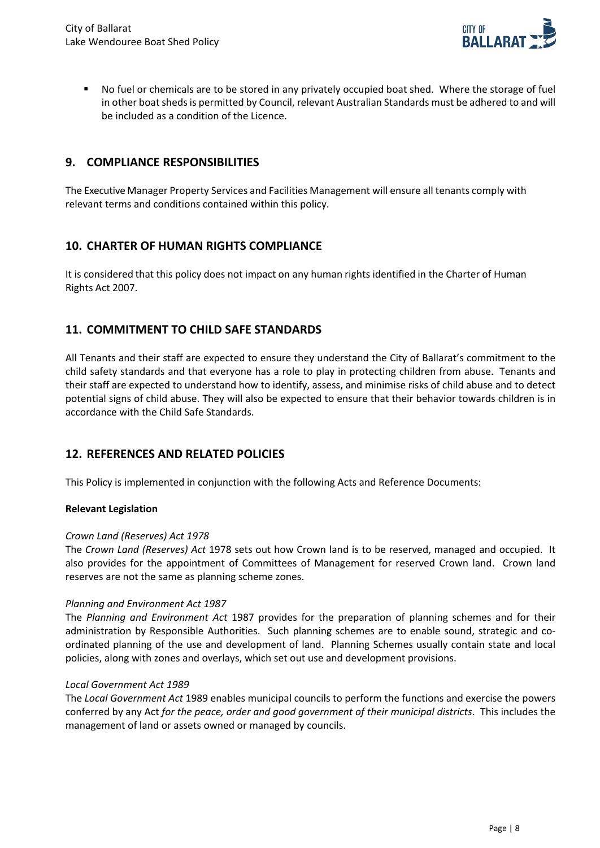

 No fuel or chemicals are to be stored in any privately occupied boat shed. Where the storage of fuel in other boat sheds is permitted by Council, relevant Australian Standards must be adhered to and will be included as a condition of the Licence.

## <span id="page-9-0"></span>**9. COMPLIANCE RESPONSIBILITIES**

The Executive Manager Property Services and Facilities Management will ensure all tenants comply with relevant terms and conditions contained within this policy.

## <span id="page-9-1"></span>**10. CHARTER OF HUMAN RIGHTS COMPLIANCE**

It is considered that this policy does not impact on any human rights identified in the Charter of Human Rights Act 2007.

## <span id="page-9-2"></span>**11. COMMITMENT TO CHILD SAFE STANDARDS**

All Tenants and their staff are expected to ensure they understand the City of Ballarat's commitment to the child safety standards and that everyone has a role to play in protecting children from abuse. Tenants and their staff are expected to understand how to identify, assess, and minimise risks of child abuse and to detect potential signs of child abuse. They will also be expected to ensure that their behavior towards children is in accordance with the Child Safe Standards.

#### <span id="page-9-3"></span>**12. REFERENCES AND RELATED POLICIES**

This Policy is implemented in conjunction with the following Acts and Reference Documents:

#### **Relevant Legislation**

#### *Crown Land (Reserves) Act 1978*

The *Crown Land (Reserves) Act* 1978 sets out how Crown land is to be reserved, managed and occupied. It also provides for the appointment of Committees of Management for reserved Crown land. Crown land reserves are not the same as planning scheme zones.

#### *Planning and Environment Act 1987*

The *Planning and Environment Act* 1987 provides for the preparation of planning schemes and for their administration by Responsible Authorities. Such planning schemes are to enable sound, strategic and coordinated planning of the use and development of land. Planning Schemes usually contain state and local policies, along with zones and overlays, which set out use and development provisions.

#### *Local Government Act 1989*

The *Local Government Act* 1989 enables municipal councils to perform the functions and exercise the powers conferred by any Act *for the peace, order and good government of their municipal districts*. This includes the management of land or assets owned or managed by councils.